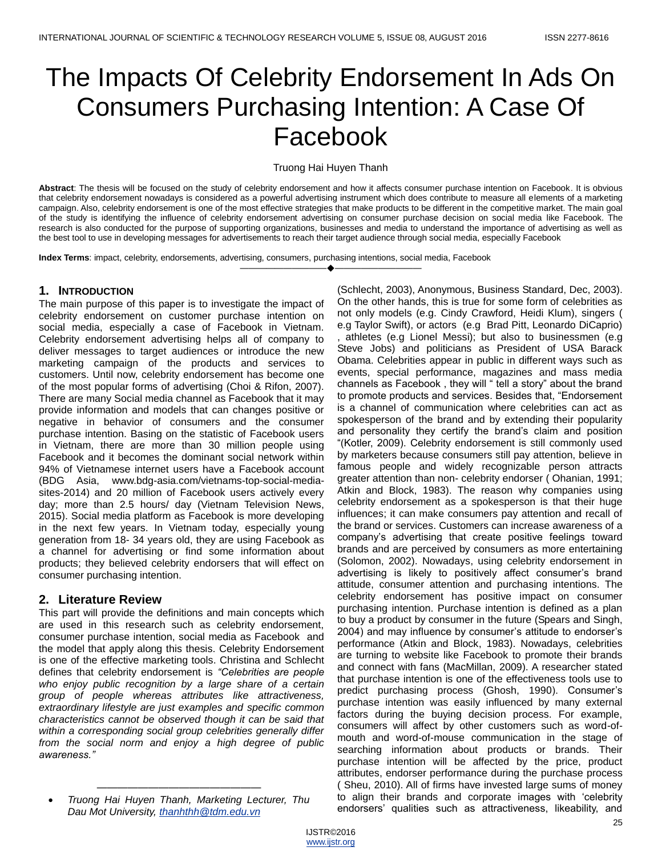# The Impacts Of Celebrity Endorsement In Ads On Consumers Purchasing Intention: A Case Of Facebook

#### Truong Hai Huyen Thanh

**Abstract**: The thesis will be focused on the study of celebrity endorsement and how it affects consumer purchase intention on Facebook. It is obvious that celebrity endorsement nowadays is considered as a powerful advertising instrument which does contribute to measure all elements of a marketing campaign. Also, celebrity endorsement is one of the most effective strategies that make products to be different in the competitive market. The main goal of the study is identifying the influence of celebrity endorsement advertising on consumer purchase decision on social media like Facebook. The research is also conducted for the purpose of supporting organizations, businesses and media to understand the importance of advertising as well as the best tool to use in developing messages for advertisements to reach their target audience through social media, especially Facebook

————————————————————

**Index Terms**: impact, celebrity, endorsements, advertising, consumers, purchasing intentions, social media, Facebook

## **1. INTRODUCTION**

The main purpose of this paper is to investigate the impact of celebrity endorsement on customer purchase intention on social media, especially a case of Facebook in Vietnam. Celebrity endorsement advertising helps all of company to deliver messages to target audiences or introduce the new marketing campaign of the products and services to customers. Until now, celebrity endorsement has become one of the most popular forms of advertising (Choi & Rifon, 2007). There are many Social media channel as Facebook that it may provide information and models that can changes positive or negative in behavior of consumers and the consumer purchase intention. Basing on the statistic of Facebook users in Vietnam, there are more than 30 million people using Facebook and it becomes the dominant social network within 94% of Vietnamese internet users have a Facebook account (BDG Asia, www.bdg-asia.com/vietnams-top-social-mediasites-2014) and 20 million of Facebook users actively every day; more than 2.5 hours/ day (Vietnam Television News, 2015). Social media platform as Facebook is more developing in the next few years. In Vietnam today, especially young generation from 18- 34 years old, they are using Facebook as a channel for advertising or find some information about products; they believed celebrity endorsers that will effect on consumer purchasing intention.

## **2. Literature Review**

This part will provide the definitions and main concepts which are used in this research such as celebrity endorsement, consumer purchase intention, social media as Facebook and the model that apply along this thesis. Celebrity Endorsement is one of the effective marketing tools. Christina and Schlecht defines that celebrity endorsement is *"Celebrities are people who enjoy public recognition by a large share of a certain group of people whereas attributes like attractiveness, extraordinary lifestyle are just examples and specific common characteristics cannot be observed though it can be said that within a corresponding social group celebrities generally differ from the social norm and enjoy a high degree of public awareness."*

(Schlecht, 2003), Anonymous, Business Standard, Dec, 2003). On the other hands, this is true for some form of celebrities as not only models (e.g. Cindy Crawford, Heidi Klum), singers ( e.g Taylor Swift), or actors (e.g Brad Pitt, Leonardo DiCaprio) , athletes (e.g Lionel Messi); but also to businessmen (e.g Steve Jobs) and politicians as President of USA Barack Obama. Celebrities appear in public in different ways such as events, special performance, magazines and mass media channels as Facebook, they will " tell a story" about the brand to promote products and services. Besides that, "Endorsement is a channel of communication where celebrities can act as spokesperson of the brand and by extending their popularity and personality they certify the brand's claim and position ―(Kotler, 2009). Celebrity endorsement is still commonly used by marketers because consumers still pay attention, believe in famous people and widely recognizable person attracts greater attention than non- celebrity endorser ( Ohanian, 1991; Atkin and Block, 1983). The reason why companies using celebrity endorsement as a spokesperson is that their huge influences; it can make consumers pay attention and recall of the brand or services. Customers can increase awareness of a company's advertising that create positive feelings toward brands and are perceived by consumers as more entertaining (Solomon, 2002). Nowadays, using celebrity endorsement in advertising is likely to positively affect consumer's brand attitude, consumer attention and purchasing intentions. The celebrity endorsement has positive impact on consumer purchasing intention. Purchase intention is defined as a plan to buy a product by consumer in the future (Spears and Singh, 2004) and may influence by consumer's attitude to endorser's performance (Atkin and Block, 1983). Nowadays, celebrities are turning to website like Facebook to promote their brands and connect with fans (MacMillan, 2009). A researcher stated that purchase intention is one of the effectiveness tools use to predict purchasing process (Ghosh, 1990). Consumer's purchase intention was easily influenced by many external factors during the buying decision process. For example, consumers will affect by other customers such as word-ofmouth and word-of-mouse communication in the stage of searching information about products or brands. Their purchase intention will be affected by the price, product attributes, endorser performance during the purchase process ( Sheu, 2010). All of firms have invested large sums of money to align their brands and corporate images with ‗celebrity endorsers' qualities such as attractiveness, likeability, and

*<sup>————————————————</sup> Truong Hai Huyen Thanh, Marketing Lecturer, Thu Dau Mot University, [thanhthh@tdm.edu.vn](mailto:thanhthh@tdm.edu.vn)*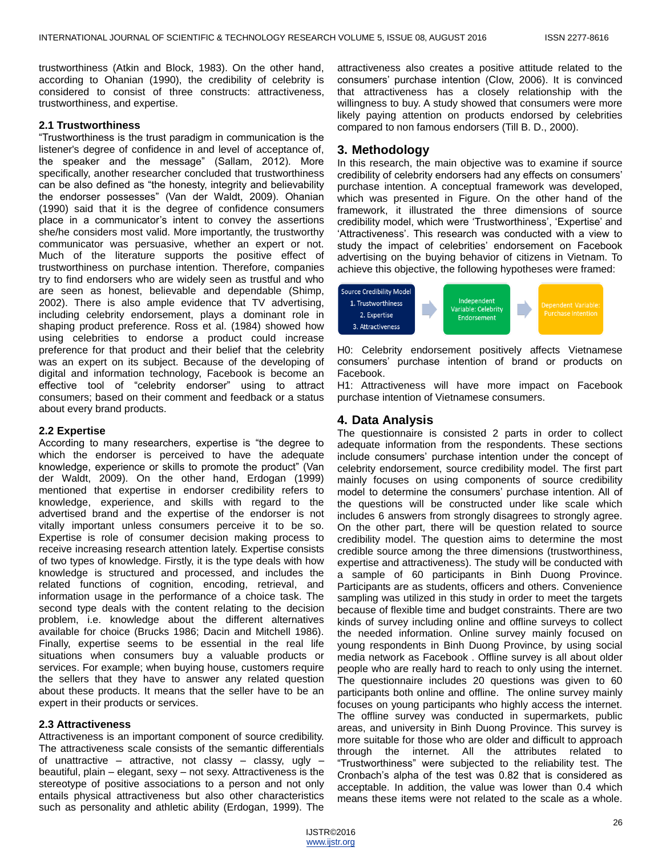trustworthiness (Atkin and Block, 1983). On the other hand, according to Ohanian (1990), the credibility of celebrity is considered to consist of three constructs: attractiveness, trustworthiness, and expertise.

#### **2.1 Trustworthiness**

―Trustworthiness is the trust paradigm in communication is the listener's degree of confidence in and level of acceptance of, the speaker and the message" (Sallam, 2012). More specifically, another researcher concluded that trustworthiness can be also defined as "the honesty, integrity and believability the endorser possesses" (Van der Waldt, 2009). Ohanian (1990) said that it is the degree of confidence consumers place in a communicator's intent to convey the assertions she/he considers most valid. More importantly, the trustworthy communicator was persuasive, whether an expert or not. Much of the literature supports the positive effect of trustworthiness on purchase intention. Therefore, companies try to find endorsers who are widely seen as trustful and who are seen as honest, believable and dependable (Shimp, 2002). There is also ample evidence that TV advertising, including celebrity endorsement, plays a dominant role in shaping product preference. Ross et al. (1984) showed how using celebrities to endorse a product could increase preference for that product and their belief that the celebrity was an expert on its subject. Because of the developing of digital and information technology, Facebook is become an effective tool of "celebrity endorser" using to attract consumers; based on their comment and feedback or a status about every brand products.

#### **2.2 Expertise**

According to many researchers, expertise is "the degree to which the endorser is perceived to have the adequate knowledge, experience or skills to promote the product‖ (Van der Waldt, 2009). On the other hand, Erdogan (1999) mentioned that expertise in endorser credibility refers to knowledge, experience, and skills with regard to the advertised brand and the expertise of the endorser is not vitally important unless consumers perceive it to be so. Expertise is role of consumer decision making process to receive increasing research attention lately. Expertise consists of two types of knowledge. Firstly, it is the type deals with how knowledge is structured and processed, and includes the related functions of cognition, encoding, retrieval, and information usage in the performance of a choice task. The second type deals with the content relating to the decision problem, i.e. knowledge about the different alternatives available for choice (Brucks 1986; Dacin and Mitchell 1986). Finally, expertise seems to be essential in the real life situations when consumers buy a valuable products or services. For example; when buying house, customers require the sellers that they have to answer any related question about these products. It means that the seller have to be an expert in their products or services.

#### **2.3 Attractiveness**

Attractiveness is an important component of source credibility. The attractiveness scale consists of the semantic differentials of unattractive – attractive, not classy – classy, ugly – beautiful, plain – elegant, sexy – not sexy. Attractiveness is the stereotype of positive associations to a person and not only entails physical attractiveness but also other characteristics such as personality and athletic ability (Erdogan, 1999). The

attractiveness also creates a positive attitude related to the consumers' purchase intention (Clow, 2006). It is convinced that attractiveness has a closely relationship with the willingness to buy. A study showed that consumers were more likely paying attention on products endorsed by celebrities compared to non famous endorsers (Till B. D., 2000).

# **3. Methodology**

In this research, the main objective was to examine if source credibility of celebrity endorsers had any effects on consumers' purchase intention. A conceptual framework was developed, which was presented in Figure. On the other hand of the framework, it illustrated the three dimensions of source credibility model, which were ‗Trustworthiness', ‗Expertise' and ‗Attractiveness'. This research was conducted with a view to study the impact of celebrities' endorsement on Facebook advertising on the buying behavior of citizens in Vietnam. To achieve this objective, the following hypotheses were framed:



H0: Celebrity endorsement positively affects Vietnamese consumers' purchase intention of brand or products on Facebook.

H1: Attractiveness will have more impact on Facebook purchase intention of Vietnamese consumers.

# **4. Data Analysis**

The questionnaire is consisted 2 parts in order to collect adequate information from the respondents. These sections include consumers' purchase intention under the concept of celebrity endorsement, source credibility model. The first part mainly focuses on using components of source credibility model to determine the consumers' purchase intention. All of the questions will be constructed under like scale which includes 6 answers from strongly disagrees to strongly agree. On the other part, there will be question related to source credibility model. The question aims to determine the most credible source among the three dimensions (trustworthiness, expertise and attractiveness). The study will be conducted with a sample of 60 participants in Binh Duong Province. Participants are as students, officers and others. Convenience sampling was utilized in this study in order to meet the targets because of flexible time and budget constraints. There are two kinds of survey including online and offline surveys to collect the needed information. Online survey mainly focused on young respondents in Binh Duong Province, by using social media network as Facebook . Offline survey is all about older people who are really hard to reach to only using the internet. The questionnaire includes 20 questions was given to 60 participants both online and offline. The online survey mainly focuses on young participants who highly access the internet. The offline survey was conducted in supermarkets, public areas, and university in Binh Duong Province. This survey is more suitable for those who are older and difficult to approach through the internet. All the attributes related to ―Trustworthiness‖ were subjected to the reliability test. The Cronbach's alpha of the test was 0.82 that is considered as acceptable. In addition, the value was lower than 0.4 which means these items were not related to the scale as a whole.